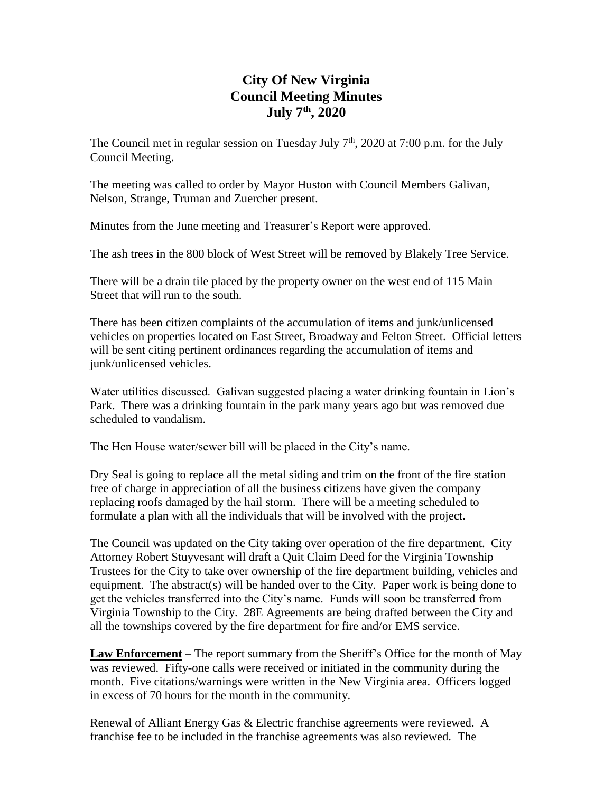# **City Of New Virginia Council Meeting Minutes July 7th , 2020**

The Council met in regular session on Tuesday July  $7<sup>th</sup>$ , 2020 at 7:00 p.m. for the July Council Meeting.

The meeting was called to order by Mayor Huston with Council Members Galivan, Nelson, Strange, Truman and Zuercher present.

Minutes from the June meeting and Treasurer's Report were approved.

The ash trees in the 800 block of West Street will be removed by Blakely Tree Service.

There will be a drain tile placed by the property owner on the west end of 115 Main Street that will run to the south.

There has been citizen complaints of the accumulation of items and junk/unlicensed vehicles on properties located on East Street, Broadway and Felton Street. Official letters will be sent citing pertinent ordinances regarding the accumulation of items and junk/unlicensed vehicles.

Water utilities discussed. Galivan suggested placing a water drinking fountain in Lion's Park. There was a drinking fountain in the park many years ago but was removed due scheduled to vandalism.

The Hen House water/sewer bill will be placed in the City's name.

Dry Seal is going to replace all the metal siding and trim on the front of the fire station free of charge in appreciation of all the business citizens have given the company replacing roofs damaged by the hail storm. There will be a meeting scheduled to formulate a plan with all the individuals that will be involved with the project.

The Council was updated on the City taking over operation of the fire department. City Attorney Robert Stuyvesant will draft a Quit Claim Deed for the Virginia Township Trustees for the City to take over ownership of the fire department building, vehicles and equipment. The abstract(s) will be handed over to the City. Paper work is being done to get the vehicles transferred into the City's name. Funds will soon be transferred from Virginia Township to the City. 28E Agreements are being drafted between the City and all the townships covered by the fire department for fire and/or EMS service.

**Law Enforcement** – The report summary from the Sheriff's Office for the month of May was reviewed. Fifty-one calls were received or initiated in the community during the month. Five citations/warnings were written in the New Virginia area. Officers logged in excess of 70 hours for the month in the community.

Renewal of Alliant Energy Gas & Electric franchise agreements were reviewed. A franchise fee to be included in the franchise agreements was also reviewed. The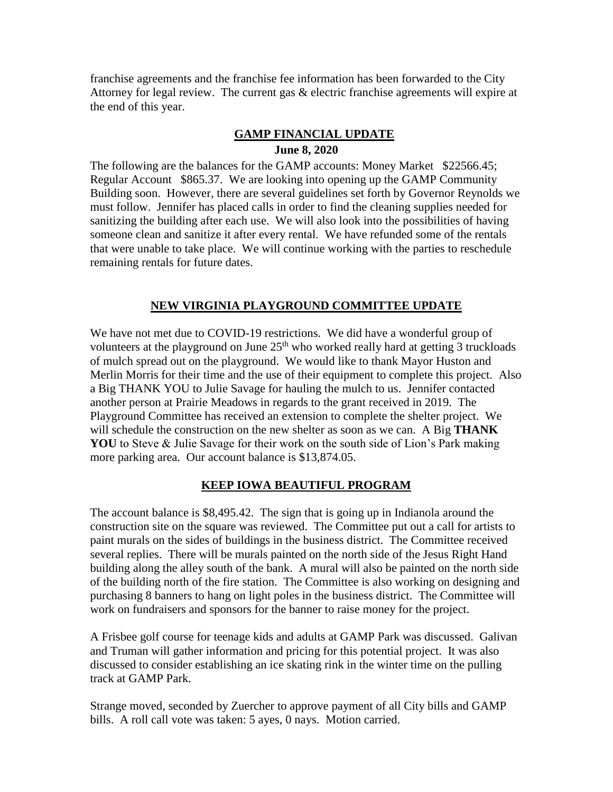franchise agreements and the franchise fee information has been forwarded to the City Attorney for legal review. The current gas & electric franchise agreements will expire at the end of this year.

### **GAMP FINANCIAL UPDATE June 8, 2020**

The following are the balances for the GAMP accounts: Money Market \$22566.45; Regular Account \$865.37. We are looking into opening up the GAMP Community Building soon. However, there are several guidelines set forth by Governor Reynolds we must follow. Jennifer has placed calls in order to find the cleaning supplies needed for sanitizing the building after each use. We will also look into the possibilities of having someone clean and sanitize it after every rental. We have refunded some of the rentals that were unable to take place. We will continue working with the parties to reschedule remaining rentals for future dates.

### **NEW VIRGINIA PLAYGROUND COMMITTEE UPDATE**

We have not met due to COVID-19 restrictions. We did have a wonderful group of volunteers at the playground on June  $25<sup>th</sup>$  who worked really hard at getting 3 truckloads of mulch spread out on the playground. We would like to thank Mayor Huston and Merlin Morris for their time and the use of their equipment to complete this project. Also a Big THANK YOU to Julie Savage for hauling the mulch to us. Jennifer contacted another person at Prairie Meadows in regards to the grant received in 2019. The Playground Committee has received an extension to complete the shelter project. We will schedule the construction on the new shelter as soon as we can. A Big **THANK YOU** to Steve & Julie Savage for their work on the south side of Lion's Park making more parking area. Our account balance is \$13,874.05.

#### **KEEP IOWA BEAUTIFUL PROGRAM**

The account balance is \$8,495.42. The sign that is going up in Indianola around the construction site on the square was reviewed. The Committee put out a call for artists to paint murals on the sides of buildings in the business district. The Committee received several replies. There will be murals painted on the north side of the Jesus Right Hand building along the alley south of the bank. A mural will also be painted on the north side of the building north of the fire station. The Committee is also working on designing and purchasing 8 banners to hang on light poles in the business district. The Committee will work on fundraisers and sponsors for the banner to raise money for the project.

A Frisbee golf course for teenage kids and adults at GAMP Park was discussed. Galivan and Truman will gather information and pricing for this potential project. It was also discussed to consider establishing an ice skating rink in the winter time on the pulling track at GAMP Park.

Strange moved, seconded by Zuercher to approve payment of all City bills and GAMP bills. A roll call vote was taken: 5 ayes, 0 nays. Motion carried.